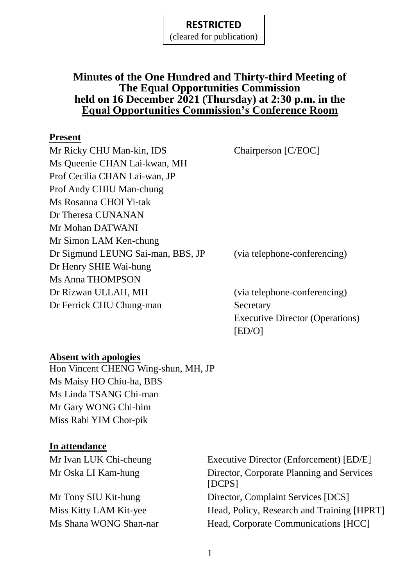(cleared for publication)

## **Minutes of the One Hundred and Thirty-third Meeting of The Equal Opportunities Commission held on 16 December 2021 (Thursday) at 2:30 p.m. in the Equal Opportunities Commission's Conference Room**

#### **Present**

Mr Ricky CHU Man-kin, IDS Chairperson [C/EOC] Ms Queenie CHAN Lai-kwan, MH Prof Cecilia CHAN Lai-wan, JP Prof Andy CHIU Man-chung Ms Rosanna CHOI Yi-tak Dr Theresa CUNANAN Mr Mohan DATWANI Mr Simon LAM Ken-chung Dr Sigmund LEUNG Sai-man, BBS, JP (via telephone-conferencing) Dr Henry SHIE Wai-hung Ms Anna THOMPSON Dr Rizwan ULLAH, MH (via telephone-conferencing) Dr Ferrick CHU Chung-man Secretary

Executive Director (Operations) [ED/O]

### **Absent with apologies**

Hon Vincent CHENG Wing-shun, MH, JP Ms Maisy HO Chiu-ha, BBS Ms Linda TSANG Chi-man Mr Gary WONG Chi-him Miss Rabi YIM Chor-pik

### **In attendance**

Mr Ivan LUK Chi-cheung Executive Director (Enforcement) [ED/E] Mr Oska LI Kam-hung Director, Corporate Planning and Services [DCPS] Mr Tony SIU Kit-hung Director, Complaint Services [DCS] Miss Kitty LAM Kit-yee Head, Policy, Research and Training [HPRT] Ms Shana WONG Shan-nar Head, Corporate Communications [HCC]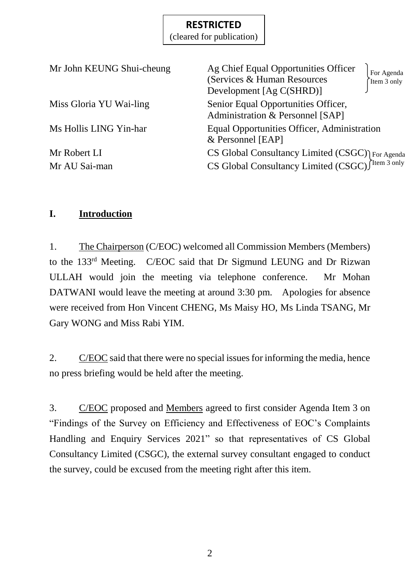(cleared for publication)

| Mr John KEUNG Shui-cheung     | Ag Chief Equal Opportunities Officer<br>For Agenda<br>(Services & Human Resources<br>Item 3 only<br>Development [Ag C(SHRD)]   |
|-------------------------------|--------------------------------------------------------------------------------------------------------------------------------|
| Miss Gloria YU Wai-ling       | Senior Equal Opportunities Officer,<br>Administration & Personnel [SAP]                                                        |
| Ms Hollis LING Yin-har        | Equal Opportunities Officer, Administration<br>& Personnel [EAP]                                                               |
| Mr Robert LI<br>Mr AU Sai-man | CS Global Consultancy Limited (CSGC) For Agenda<br>$CS$ Global Consultancy Limited $(CSGC)^{\int \text{Item } 3 \text{ only}}$ |

## **I. Introduction**

1. The Chairperson (C/EOC) welcomed all Commission Members (Members) to the 133<sup>rd</sup> Meeting. C/EOC said that Dr Sigmund LEUNG and Dr Rizwan ULLAH would join the meeting via telephone conference. Mr Mohan DATWANI would leave the meeting at around 3:30 pm. Apologies for absence were received from Hon Vincent CHENG, Ms Maisy HO, Ms Linda TSANG, Mr Gary WONG and Miss Rabi YIM.

2. C/EOC said that there were no special issues for informing the media, hence no press briefing would be held after the meeting.

3. C/EOC proposed and Members agreed to first consider Agenda Item 3 on "Findings of the Survey on Efficiency and Effectiveness of EOC's Complaints Handling and Enquiry Services 2021" so that representatives of CS Global Consultancy Limited (CSGC), the external survey consultant engaged to conduct the survey, could be excused from the meeting right after this item.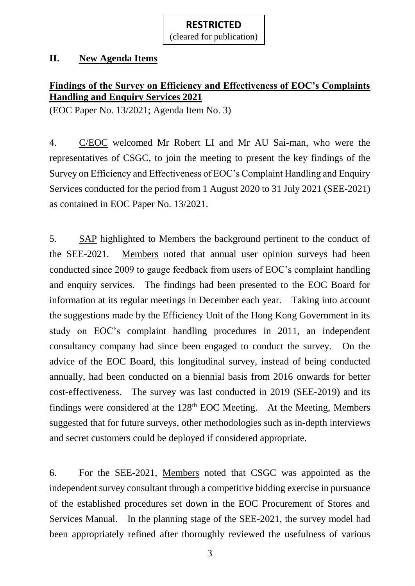(cleared for publication)

### **II. New Agenda Items**

## **Findings of the Survey on Efficiency and Effectiveness of EOC's Complaints Handling and Enquiry Services 2021**

(EOC Paper No. 13/2021; Agenda Item No. 3)

4. C/EOC welcomed Mr Robert LI and Mr AU Sai-man, who were the representatives of CSGC, to join the meeting to present the key findings of the Survey on Efficiency and Effectiveness of EOC's Complaint Handling and Enquiry Services conducted for the period from 1 August 2020 to 31 July 2021 (SEE-2021) as contained in EOC Paper No. 13/2021.

5. SAP highlighted to Members the background pertinent to the conduct of the SEE-2021. Members noted that annual user opinion surveys had been conducted since 2009 to gauge feedback from users of EOC's complaint handling and enquiry services. The findings had been presented to the EOC Board for information at its regular meetings in December each year. Taking into account the suggestions made by the Efficiency Unit of the Hong Kong Government in its study on EOC's complaint handling procedures in 2011, an independent consultancy company had since been engaged to conduct the survey. On the advice of the EOC Board, this longitudinal survey, instead of being conducted annually, had been conducted on a biennial basis from 2016 onwards for better cost-effectiveness. The survey was last conducted in 2019 (SEE-2019) and its findings were considered at the  $128<sup>th</sup>$  EOC Meeting. At the Meeting, Members suggested that for future surveys, other methodologies such as in-depth interviews and secret customers could be deployed if considered appropriate.

6. For the SEE-2021, Members noted that CSGC was appointed as the independent survey consultant through a competitive bidding exercise in pursuance of the established procedures set down in the EOC Procurement of Stores and Services Manual. In the planning stage of the SEE-2021, the survey model had been appropriately refined after thoroughly reviewed the usefulness of various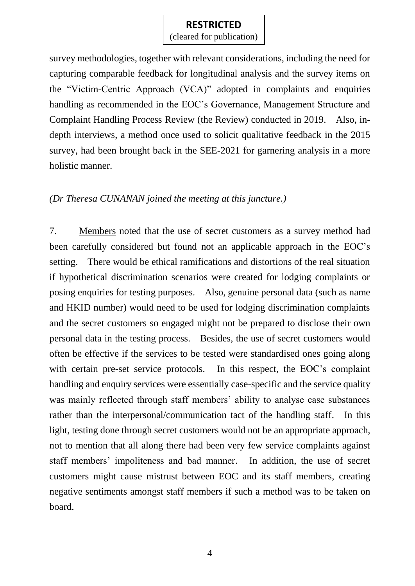(cleared for publication)

survey methodologies, together with relevant considerations, including the need for capturing comparable feedback for longitudinal analysis and the survey items on the "Victim-Centric Approach (VCA)" adopted in complaints and enquiries handling as recommended in the EOC's Governance, Management Structure and Complaint Handling Process Review (the Review) conducted in 2019. Also, indepth interviews, a method once used to solicit qualitative feedback in the 2015 survey, had been brought back in the SEE-2021 for garnering analysis in a more holistic manner.

### *(Dr Theresa CUNANAN joined the meeting at this juncture.)*

7. Members noted that the use of secret customers as a survey method had been carefully considered but found not an applicable approach in the EOC's setting. There would be ethical ramifications and distortions of the real situation if hypothetical discrimination scenarios were created for lodging complaints or posing enquiries for testing purposes. Also, genuine personal data (such as name and HKID number) would need to be used for lodging discrimination complaints and the secret customers so engaged might not be prepared to disclose their own personal data in the testing process. Besides, the use of secret customers would often be effective if the services to be tested were standardised ones going along with certain pre-set service protocols. In this respect, the EOC's complaint handling and enquiry services were essentially case-specific and the service quality was mainly reflected through staff members' ability to analyse case substances rather than the interpersonal/communication tact of the handling staff. In this light, testing done through secret customers would not be an appropriate approach, not to mention that all along there had been very few service complaints against staff members' impoliteness and bad manner. In addition, the use of secret customers might cause mistrust between EOC and its staff members, creating negative sentiments amongst staff members if such a method was to be taken on board.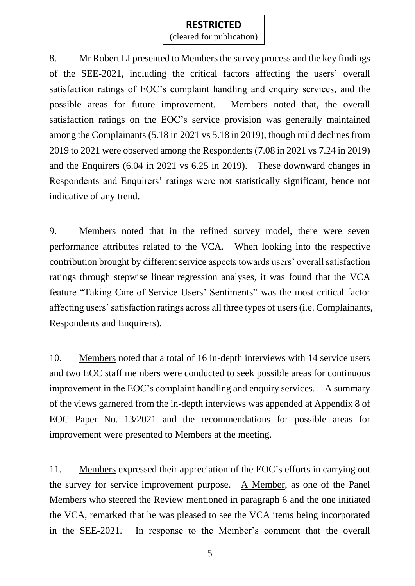(cleared for publication)

8. Mr Robert LI presented to Members the survey process and the key findings of the SEE-2021, including the critical factors affecting the users' overall satisfaction ratings of EOC's complaint handling and enquiry services, and the possible areas for future improvement. Members noted that, the overall satisfaction ratings on the EOC's service provision was generally maintained among the Complainants (5.18 in 2021 vs 5.18 in 2019), though mild declines from 2019 to 2021 were observed among the Respondents (7.08 in 2021 vs 7.24 in 2019) and the Enquirers (6.04 in 2021 vs 6.25 in 2019). These downward changes in Respondents and Enquirers' ratings were not statistically significant, hence not indicative of any trend.

9. Members noted that in the refined survey model, there were seven performance attributes related to the VCA. When looking into the respective contribution brought by different service aspects towards users' overall satisfaction ratings through stepwise linear regression analyses, it was found that the VCA feature "Taking Care of Service Users' Sentiments" was the most critical factor affecting users' satisfaction ratings across all three types of users(i.e. Complainants, Respondents and Enquirers).

10. Members noted that a total of 16 in-depth interviews with 14 service users and two EOC staff members were conducted to seek possible areas for continuous improvement in the EOC's complaint handling and enquiry services. A summary of the views garnered from the in-depth interviews was appended at Appendix 8 of EOC Paper No. 13/2021 and the recommendations for possible areas for improvement were presented to Members at the meeting.

11. Members expressed their appreciation of the EOC's efforts in carrying out the survey for service improvement purpose. A Member, as one of the Panel Members who steered the Review mentioned in paragraph 6 and the one initiated the VCA, remarked that he was pleased to see the VCA items being incorporated in the SEE-2021. In response to the Member's comment that the overall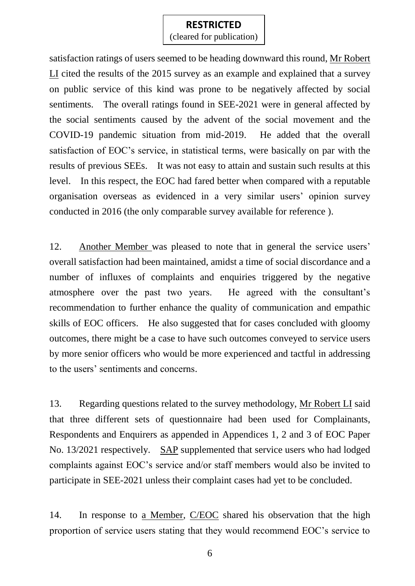(cleared for publication)

satisfaction ratings of users seemed to be heading downward this round, Mr Robert LI cited the results of the 2015 survey as an example and explained that a survey on public service of this kind was prone to be negatively affected by social sentiments. The overall ratings found in SEE-2021 were in general affected by the social sentiments caused by the advent of the social movement and the COVID-19 pandemic situation from mid-2019. He added that the overall satisfaction of EOC's service, in statistical terms, were basically on par with the results of previous SEEs. It was not easy to attain and sustain such results at this level. In this respect, the EOC had fared better when compared with a reputable organisation overseas as evidenced in a very similar users' opinion survey conducted in 2016 (the only comparable survey available for reference ).

12. Another Member was pleased to note that in general the service users' overall satisfaction had been maintained, amidst a time of social discordance and a number of influxes of complaints and enquiries triggered by the negative atmosphere over the past two years. He agreed with the consultant's recommendation to further enhance the quality of communication and empathic skills of EOC officers. He also suggested that for cases concluded with gloomy outcomes, there might be a case to have such outcomes conveyed to service users by more senior officers who would be more experienced and tactful in addressing to the users' sentiments and concerns.

13. Regarding questions related to the survey methodology, Mr Robert LI said that three different sets of questionnaire had been used for Complainants, Respondents and Enquirers as appended in Appendices 1, 2 and 3 of EOC Paper No. 13/2021 respectively. SAP supplemented that service users who had lodged complaints against EOC's service and/or staff members would also be invited to participate in SEE-2021 unless their complaint cases had yet to be concluded.

14. In response to a Member, C/EOC shared his observation that the high proportion of service users stating that they would recommend EOC's service to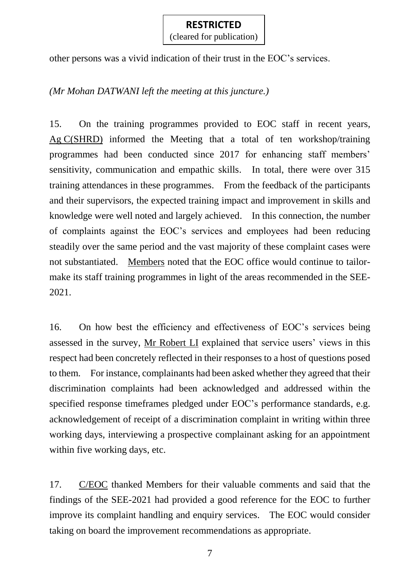(cleared for publication)

other persons was a vivid indication of their trust in the EOC's services.

*(Mr Mohan DATWANI left the meeting at this juncture.)*

15. On the training programmes provided to EOC staff in recent years, Ag C(SHRD) informed the Meeting that a total of ten workshop/training programmes had been conducted since 2017 for enhancing staff members' sensitivity, communication and empathic skills. In total, there were over 315 training attendances in these programmes. From the feedback of the participants and their supervisors, the expected training impact and improvement in skills and knowledge were well noted and largely achieved. In this connection, the number of complaints against the EOC's services and employees had been reducing steadily over the same period and the vast majority of these complaint cases were not substantiated. Members noted that the EOC office would continue to tailormake its staff training programmes in light of the areas recommended in the SEE-2021.

16. On how best the efficiency and effectiveness of EOC's services being assessed in the survey, Mr Robert LI explained that service users' views in this respect had been concretely reflected in their responses to a host of questions posed to them. For instance, complainants had been asked whether they agreed that their discrimination complaints had been acknowledged and addressed within the specified response timeframes pledged under EOC's performance standards, e.g. acknowledgement of receipt of a discrimination complaint in writing within three working days, interviewing a prospective complainant asking for an appointment within five working days, etc.

17. C/EOC thanked Members for their valuable comments and said that the findings of the SEE-2021 had provided a good reference for the EOC to further improve its complaint handling and enquiry services. The EOC would consider taking on board the improvement recommendations as appropriate.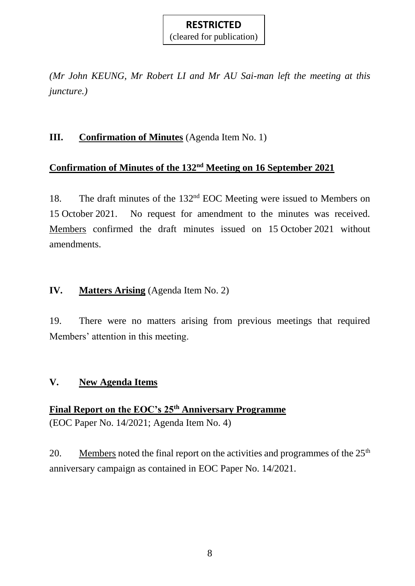*(Mr John KEUNG, Mr Robert LI and Mr AU Sai-man left the meeting at this juncture.)*

## **III. Confirmation of Minutes** (Agenda Item No. 1)

## **Confirmation of Minutes of the 132<sup>nd</sup> Meeting on 16 September 2021**

18. The draft minutes of the 132<sup>nd</sup> EOC Meeting were issued to Members on 15 October 2021. No request for amendment to the minutes was received. Members confirmed the draft minutes issued on 15 October 2021 without amendments.

## **IV. Matters Arising** (Agenda Item No. 2)

19. There were no matters arising from previous meetings that required Members' attention in this meeting.

### **V. New Agenda Items**

# **Final Report on the EOC's 25th Anniversary Programme** (EOC Paper No. 14/2021; Agenda Item No. 4)

20. Members noted the final report on the activities and programmes of the  $25<sup>th</sup>$ anniversary campaign as contained in EOC Paper No. 14/2021.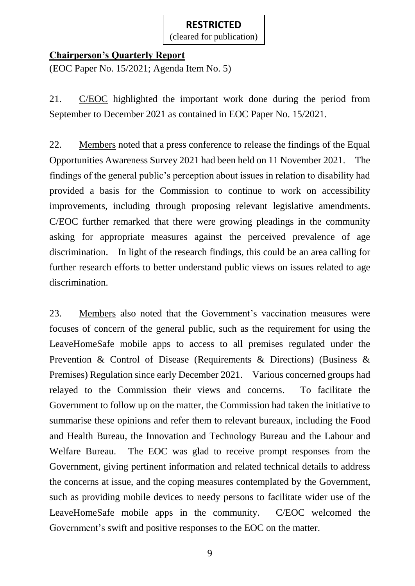(cleared for publication)

### **Chairperson's Quarterly Report**

(EOC Paper No. 15/2021; Agenda Item No. 5)

21. C/EOC highlighted the important work done during the period from September to December 2021 as contained in EOC Paper No. 15/2021.

22. Members noted that a press conference to release the findings of the Equal Opportunities Awareness Survey 2021 had been held on 11 November 2021. The findings of the general public's perception about issues in relation to disability had provided a basis for the Commission to continue to work on accessibility improvements, including through proposing relevant legislative amendments. C/EOC further remarked that there were growing pleadings in the community asking for appropriate measures against the perceived prevalence of age discrimination. In light of the research findings, this could be an area calling for further research efforts to better understand public views on issues related to age discrimination.

23. Members also noted that the Government's vaccination measures were focuses of concern of the general public, such as the requirement for using the LeaveHomeSafe mobile apps to access to all premises regulated under the Prevention & Control of Disease (Requirements & Directions) (Business & Premises) Regulation since early December 2021. Various concerned groups had relayed to the Commission their views and concerns. To facilitate the Government to follow up on the matter, the Commission had taken the initiative to summarise these opinions and refer them to relevant bureaux, including the Food and Health Bureau, the Innovation and Technology Bureau and the Labour and Welfare Bureau. The EOC was glad to receive prompt responses from the Government, giving pertinent information and related technical details to address the concerns at issue, and the coping measures contemplated by the Government, such as providing mobile devices to needy persons to facilitate wider use of the LeaveHomeSafe mobile apps in the community. C/EOC welcomed the Government's swift and positive responses to the EOC on the matter.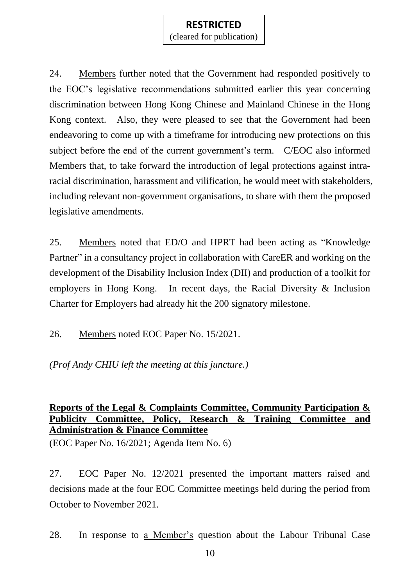(cleared for publication)

24. Members further noted that the Government had responded positively to the EOC's legislative recommendations submitted earlier this year concerning discrimination between Hong Kong Chinese and Mainland Chinese in the Hong Kong context. Also, they were pleased to see that the Government had been endeavoring to come up with a timeframe for introducing new protections on this subject before the end of the current government's term. C/EOC also informed Members that, to take forward the introduction of legal protections against intraracial discrimination, harassment and vilification, he would meet with stakeholders, including relevant non-government organisations, to share with them the proposed legislative amendments.

25. Members noted that ED/O and HPRT had been acting as "Knowledge Partner" in a consultancy project in collaboration with CareER and working on the development of the Disability Inclusion Index (DII) and production of a toolkit for employers in Hong Kong. In recent days, the Racial Diversity & Inclusion Charter for Employers had already hit the 200 signatory milestone.

26. Members noted EOC Paper No. 15/2021.

*(Prof Andy CHIU left the meeting at this juncture.)*

## **Reports of the Legal & Complaints Committee, Community Participation & Publicity Committee, Policy, Research & Training Committee and Administration & Finance Committee**

(EOC Paper No. 16/2021; Agenda Item No. 6)

27. EOC Paper No. 12/2021 presented the important matters raised and decisions made at the four EOC Committee meetings held during the period from October to November 2021.

28. In response to a Member's question about the Labour Tribunal Case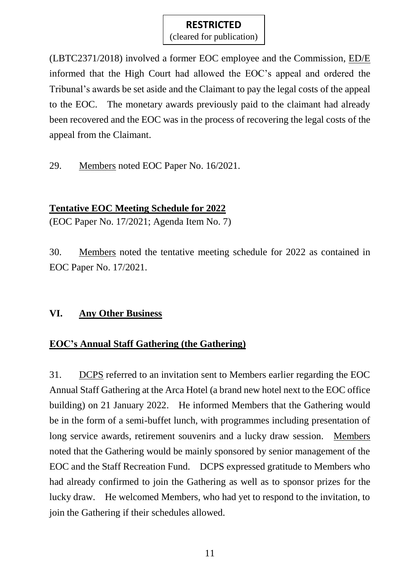(cleared for publication)

(LBTC2371/2018) involved a former EOC employee and the Commission, ED/E informed that the High Court had allowed the EOC's appeal and ordered the Tribunal's awards be set aside and the Claimant to pay the legal costs of the appeal to the EOC. The monetary awards previously paid to the claimant had already been recovered and the EOC was in the process of recovering the legal costs of the appeal from the Claimant.

29. Members noted EOC Paper No. 16/2021.

# **Tentative EOC Meeting Schedule for 2022**

(EOC Paper No. 17/2021; Agenda Item No. 7)

30. Members noted the tentative meeting schedule for 2022 as contained in EOC Paper No. 17/2021.

# **VI. Any Other Business**

# **EOC's Annual Staff Gathering (the Gathering)**

31. DCPS referred to an invitation sent to Members earlier regarding the EOC Annual Staff Gathering at the Arca Hotel (a brand new hotel next to the EOC office building) on 21 January 2022. He informed Members that the Gathering would be in the form of a semi-buffet lunch, with programmes including presentation of long service awards, retirement souvenirs and a lucky draw session. Members noted that the Gathering would be mainly sponsored by senior management of the EOC and the Staff Recreation Fund. DCPS expressed gratitude to Members who had already confirmed to join the Gathering as well as to sponsor prizes for the lucky draw. He welcomed Members, who had yet to respond to the invitation, to join the Gathering if their schedules allowed.